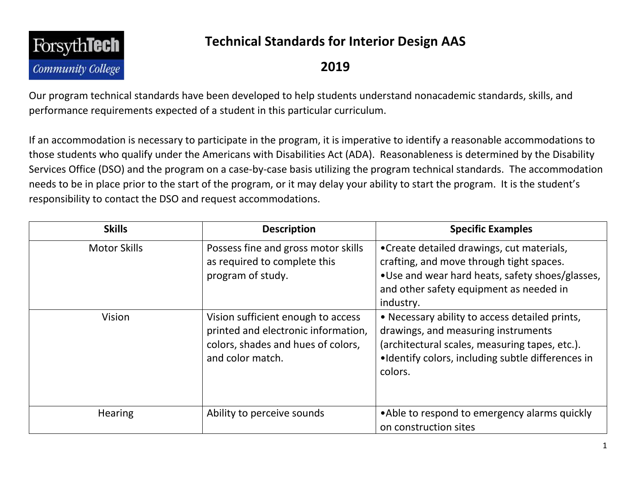

## **Technical Standards for Interior Design AAS**

## **2019**

Our program technical standards have been developed to help students understand nonacademic standards, skills, and performance requirements expected of a student in this particular curriculum.

If an accommodation is necessary to participate in the program, it is imperative to identify a reasonable accommodations to those students who qualify under the Americans with Disabilities Act (ADA). Reasonableness is determined by the Disability Services Office (DSO) and the program on a case-by-case basis utilizing the program technical standards. The accommodation needs to be in place prior to the start of the program, or it may delay your ability to start the program. It is the student's responsibility to contact the DSO and request accommodations.

| <b>Skills</b>       | <b>Description</b>                                                                                                                  | <b>Specific Examples</b>                                                                                                                                                                                |
|---------------------|-------------------------------------------------------------------------------------------------------------------------------------|---------------------------------------------------------------------------------------------------------------------------------------------------------------------------------------------------------|
| <b>Motor Skills</b> | Possess fine and gross motor skills<br>as required to complete this<br>program of study.                                            | • Create detailed drawings, cut materials,<br>crafting, and move through tight spaces.<br>. Use and wear hard heats, safety shoes/glasses,<br>and other safety equipment as needed in<br>industry.      |
| <b>Vision</b>       | Vision sufficient enough to access<br>printed and electronic information,<br>colors, shades and hues of colors,<br>and color match. | • Necessary ability to access detailed prints,<br>drawings, and measuring instruments<br>(architectural scales, measuring tapes, etc.).<br>•Identify colors, including subtle differences in<br>colors. |
| <b>Hearing</b>      | Ability to perceive sounds                                                                                                          | • Able to respond to emergency alarms quickly<br>on construction sites                                                                                                                                  |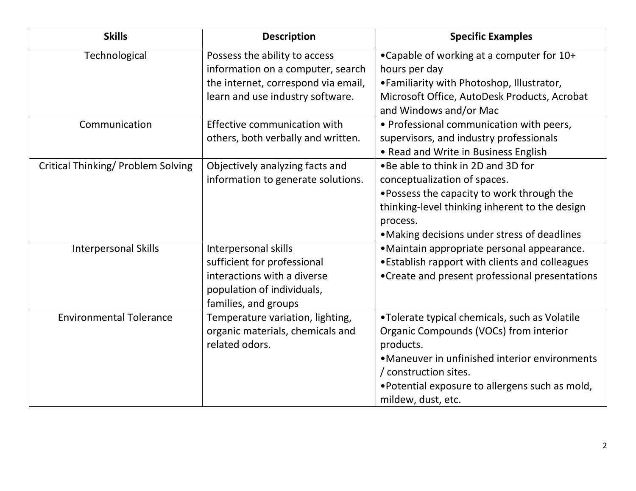| <b>Skills</b>                             | <b>Description</b>                                                                                                                            | <b>Specific Examples</b>                                                                                                                                                                                                                               |
|-------------------------------------------|-----------------------------------------------------------------------------------------------------------------------------------------------|--------------------------------------------------------------------------------------------------------------------------------------------------------------------------------------------------------------------------------------------------------|
| Technological                             | Possess the ability to access<br>information on a computer, search<br>the internet, correspond via email,<br>learn and use industry software. | •Capable of working at a computer for 10+<br>hours per day<br>•Familiarity with Photoshop, Illustrator,<br>Microsoft Office, AutoDesk Products, Acrobat<br>and Windows and/or Mac                                                                      |
| Communication                             | Effective communication with<br>others, both verbally and written.                                                                            | • Professional communication with peers,<br>supervisors, and industry professionals<br>• Read and Write in Business English                                                                                                                            |
| <b>Critical Thinking/ Problem Solving</b> | Objectively analyzing facts and<br>information to generate solutions.                                                                         | . Be able to think in 2D and 3D for<br>conceptualization of spaces.<br>. Possess the capacity to work through the<br>thinking-level thinking inherent to the design<br>process.<br>•Making decisions under stress of deadlines                         |
| <b>Interpersonal Skills</b>               | Interpersonal skills<br>sufficient for professional<br>interactions with a diverse<br>population of individuals,<br>families, and groups      | •Maintain appropriate personal appearance.<br>. Establish rapport with clients and colleagues<br>•Create and present professional presentations                                                                                                        |
| <b>Environmental Tolerance</b>            | Temperature variation, lighting,<br>organic materials, chemicals and<br>related odors.                                                        | •Tolerate typical chemicals, such as Volatile<br>Organic Compounds (VOCs) from interior<br>products.<br>•Maneuver in unfinished interior environments<br>/ construction sites.<br>•Potential exposure to allergens such as mold,<br>mildew, dust, etc. |